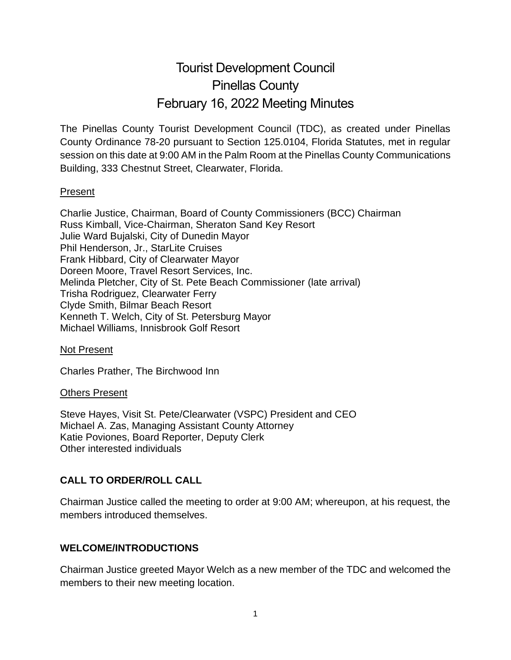# Tourist Development Council Pinellas County February 16, 2022 Meeting Minutes

The Pinellas County Tourist Development Council (TDC), as created under Pinellas County Ordinance 78-20 pursuant to Section 125.0104, Florida Statutes, met in regular session on this date at 9:00 AM in the Palm Room at the Pinellas County Communications Building, 333 Chestnut Street, Clearwater, Florida.

#### Present

Charlie Justice, Chairman, Board of County Commissioners (BCC) Chairman Russ Kimball, Vice-Chairman, Sheraton Sand Key Resort Julie Ward Bujalski, City of Dunedin Mayor Phil Henderson, Jr., StarLite Cruises Frank Hibbard, City of Clearwater Mayor Doreen Moore, Travel Resort Services, Inc. Melinda Pletcher, City of St. Pete Beach Commissioner (late arrival) Trisha Rodriguez, Clearwater Ferry Clyde Smith, Bilmar Beach Resort Kenneth T. Welch, City of St. Petersburg Mayor Michael Williams, Innisbrook Golf Resort

#### Not Present

Charles Prather, The Birchwood Inn

#### Others Present

Steve Hayes, Visit St. Pete/Clearwater (VSPC) President and CEO Michael A. Zas, Managing Assistant County Attorney Katie Poviones, Board Reporter, Deputy Clerk Other interested individuals

## **CALL TO ORDER/ROLL CALL**

Chairman Justice called the meeting to order at 9:00 AM; whereupon, at his request, the members introduced themselves.

#### **WELCOME/INTRODUCTIONS**

Chairman Justice greeted Mayor Welch as a new member of the TDC and welcomed the members to their new meeting location.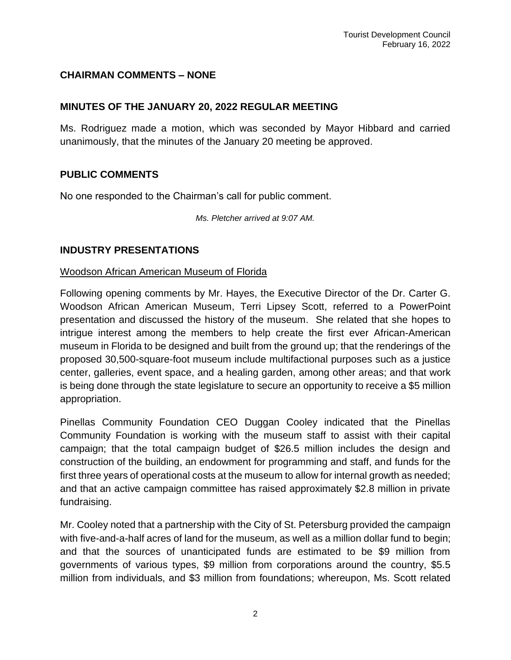## **CHAIRMAN COMMENTS – NONE**

#### **MINUTES OF THE JANUARY 20, 2022 REGULAR MEETING**

Ms. Rodriguez made a motion, which was seconded by Mayor Hibbard and carried unanimously, that the minutes of the January 20 meeting be approved.

#### **PUBLIC COMMENTS**

No one responded to the Chairman's call for public comment.

*Ms. Pletcher arrived at 9:07 AM.*

#### **INDUSTRY PRESENTATIONS**

#### Woodson African American Museum of Florida

Following opening comments by Mr. Hayes, the Executive Director of the Dr. Carter G. Woodson African American Museum, Terri Lipsey Scott, referred to a PowerPoint presentation and discussed the history of the museum. She related that she hopes to intrigue interest among the members to help create the first ever African-American museum in Florida to be designed and built from the ground up; that the renderings of the proposed 30,500-square-foot museum include multifactional purposes such as a justice center, galleries, event space, and a healing garden, among other areas; and that work is being done through the state legislature to secure an opportunity to receive a \$5 million appropriation.

Pinellas Community Foundation CEO Duggan Cooley indicated that the Pinellas Community Foundation is working with the museum staff to assist with their capital campaign; that the total campaign budget of \$26.5 million includes the design and construction of the building, an endowment for programming and staff, and funds for the first three years of operational costs at the museum to allow for internal growth as needed; and that an active campaign committee has raised approximately \$2.8 million in private fundraising.

Mr. Cooley noted that a partnership with the City of St. Petersburg provided the campaign with five-and-a-half acres of land for the museum, as well as a million dollar fund to begin; and that the sources of unanticipated funds are estimated to be \$9 million from governments of various types, \$9 million from corporations around the country, \$5.5 million from individuals, and \$3 million from foundations; whereupon, Ms. Scott related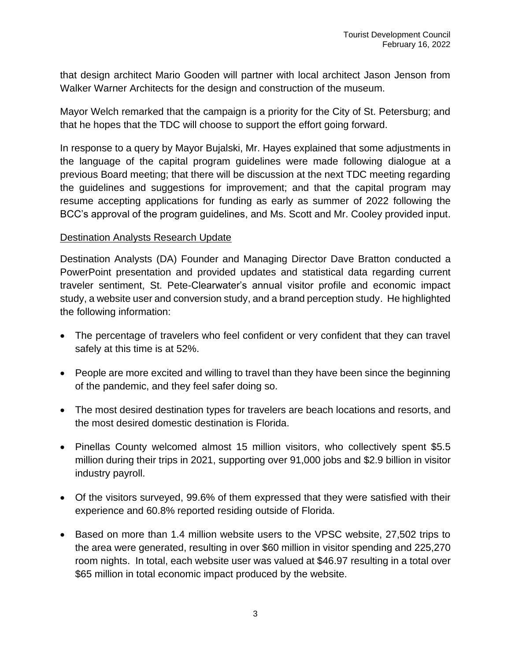that design architect Mario Gooden will partner with local architect Jason Jenson from Walker Warner Architects for the design and construction of the museum.

Mayor Welch remarked that the campaign is a priority for the City of St. Petersburg; and that he hopes that the TDC will choose to support the effort going forward.

In response to a query by Mayor Bujalski, Mr. Hayes explained that some adjustments in the language of the capital program guidelines were made following dialogue at a previous Board meeting; that there will be discussion at the next TDC meeting regarding the guidelines and suggestions for improvement; and that the capital program may resume accepting applications for funding as early as summer of 2022 following the BCC's approval of the program guidelines, and Ms. Scott and Mr. Cooley provided input.

#### Destination Analysts Research Update

Destination Analysts (DA) Founder and Managing Director Dave Bratton conducted a PowerPoint presentation and provided updates and statistical data regarding current traveler sentiment, St. Pete-Clearwater's annual visitor profile and economic impact study, a website user and conversion study, and a brand perception study. He highlighted the following information:

- The percentage of travelers who feel confident or very confident that they can travel safely at this time is at 52%.
- People are more excited and willing to travel than they have been since the beginning of the pandemic, and they feel safer doing so.
- The most desired destination types for travelers are beach locations and resorts, and the most desired domestic destination is Florida.
- Pinellas County welcomed almost 15 million visitors, who collectively spent \$5.5 million during their trips in 2021, supporting over 91,000 jobs and \$2.9 billion in visitor industry payroll.
- Of the visitors surveyed, 99.6% of them expressed that they were satisfied with their experience and 60.8% reported residing outside of Florida.
- Based on more than 1.4 million website users to the VPSC website, 27,502 trips to the area were generated, resulting in over \$60 million in visitor spending and 225,270 room nights. In total, each website user was valued at \$46.97 resulting in a total over \$65 million in total economic impact produced by the website.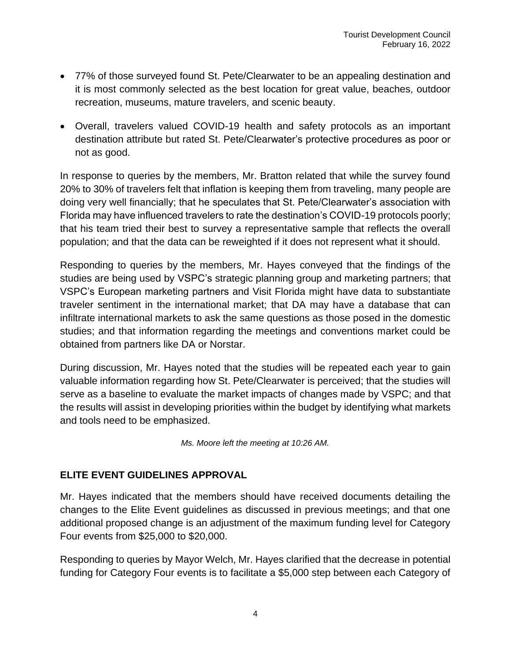- 77% of those surveyed found St. Pete/Clearwater to be an appealing destination and it is most commonly selected as the best location for great value, beaches, outdoor recreation, museums, mature travelers, and scenic beauty.
- Overall, travelers valued COVID-19 health and safety protocols as an important destination attribute but rated St. Pete/Clearwater's protective procedures as poor or not as good.

In response to queries by the members, Mr. Bratton related that while the survey found 20% to 30% of travelers felt that inflation is keeping them from traveling, many people are doing very well financially; that he speculates that St. Pete/Clearwater's association with Florida may have influenced travelers to rate the destination's COVID-19 protocols poorly; that his team tried their best to survey a representative sample that reflects the overall population; and that the data can be reweighted if it does not represent what it should.

Responding to queries by the members, Mr. Hayes conveyed that the findings of the studies are being used by VSPC's strategic planning group and marketing partners; that VSPC's European marketing partners and Visit Florida might have data to substantiate traveler sentiment in the international market; that DA may have a database that can infiltrate international markets to ask the same questions as those posed in the domestic studies; and that information regarding the meetings and conventions market could be obtained from partners like DA or Norstar.

During discussion, Mr. Hayes noted that the studies will be repeated each year to gain valuable information regarding how St. Pete/Clearwater is perceived; that the studies will serve as a baseline to evaluate the market impacts of changes made by VSPC; and that the results will assist in developing priorities within the budget by identifying what markets and tools need to be emphasized.

*Ms. Moore left the meeting at 10:26 AM.*

## **ELITE EVENT GUIDELINES APPROVAL**

Mr. Hayes indicated that the members should have received documents detailing the changes to the Elite Event guidelines as discussed in previous meetings; and that one additional proposed change is an adjustment of the maximum funding level for Category Four events from \$25,000 to \$20,000.

Responding to queries by Mayor Welch, Mr. Hayes clarified that the decrease in potential funding for Category Four events is to facilitate a \$5,000 step between each Category of